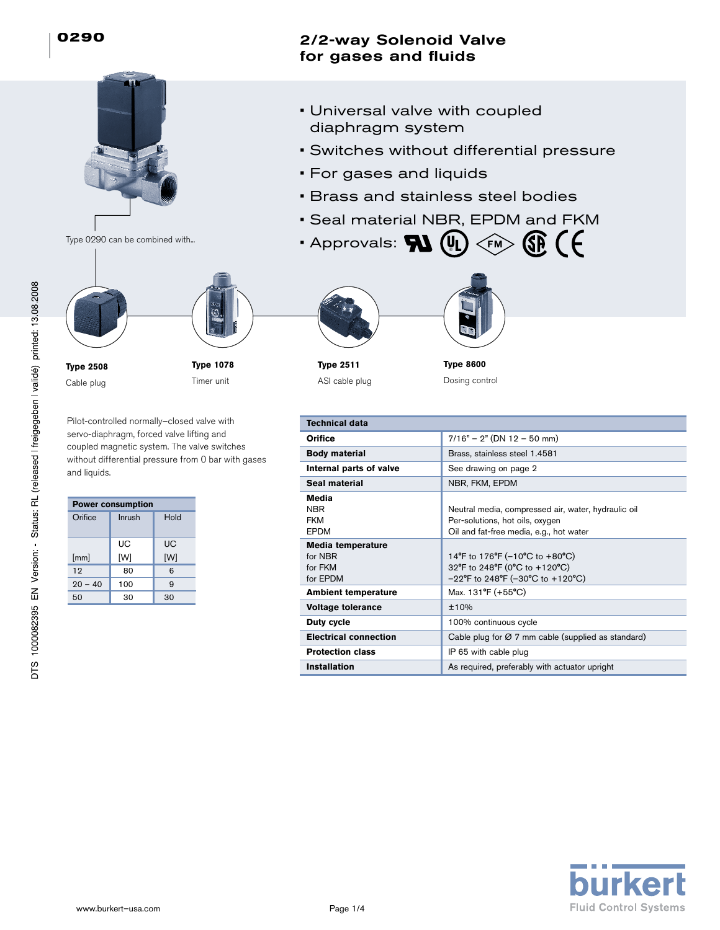# Type 0290 can be combined with... **Type 1078** Timer unit **Type 2508** Cable plug

Pilot-controlled normally–closed valve with servo-diaphragm, forced valve lifting and coupled magnetic system. The valve switches without differential pressure from 0 bar with gases and liquids.

| <b>Power consumption</b> |                |     |  |  |  |
|--------------------------|----------------|-----|--|--|--|
| Orifice                  | Inrush<br>Hold |     |  |  |  |
|                          | UC             | UC  |  |  |  |
| [mm]                     | [W]            | [W] |  |  |  |
| 12                       | 80             | 6   |  |  |  |
| $20 - 40$                | 100            | 9   |  |  |  |
| 50                       | 30             | 30  |  |  |  |

## 2/2-way Solenoid Valve for gases and fluids

- Universal valve with coupled diaphragm system
- Switches without differential pressure
- For gases and liquids
- Brass and stainless steel bodies
- Seal material NBR, EPDM and FKM
- Approvals:  $\bf{W}$  (UL)  $<$ ғм





**Type 8600** Dosing control

| <b>Technical data</b>                               |                                                                                                                                   |
|-----------------------------------------------------|-----------------------------------------------------------------------------------------------------------------------------------|
| Orifice                                             | $7/16" - 2"$ (DN 12 - 50 mm)                                                                                                      |
| <b>Body material</b>                                | Brass, stainless steel 1.4581                                                                                                     |
| Internal parts of valve                             | See drawing on page 2                                                                                                             |
| Seal material                                       | NBR, FKM, EPDM                                                                                                                    |
| Media<br><b>NBR</b><br><b>FKM</b><br><b>FPDM</b>    | Neutral media, compressed air, water, hydraulic oil<br>Per-solutions, hot oils, oxygen<br>Oil and fat-free media, e.g., hot water |
| Media temperature<br>for NBR<br>for FKM<br>for EPDM | 14°F to 176°F (-10°C to +80°C)<br>32°F to 248°F (0°C to +120°C)<br>$-22^{\circ}$ F to 248°F (-30°C to +120°C)                     |
| <b>Ambient temperature</b>                          | Max. 131°F (+55°C)                                                                                                                |
| <b>Voltage tolerance</b>                            | ±10%                                                                                                                              |
| Duty cycle                                          | 100% continuous cycle                                                                                                             |
| <b>Electrical connection</b>                        | Cable plug for $\varnothing$ 7 mm cable (supplied as standard)                                                                    |
| <b>Protection class</b>                             | IP 65 with cable plug                                                                                                             |
| <b>Installation</b>                                 | As required, preferably with actuator upright                                                                                     |

DTS 1000082395 EN Version: - Status: RL (released I freigegeben I validé) printed: 13.08.2008

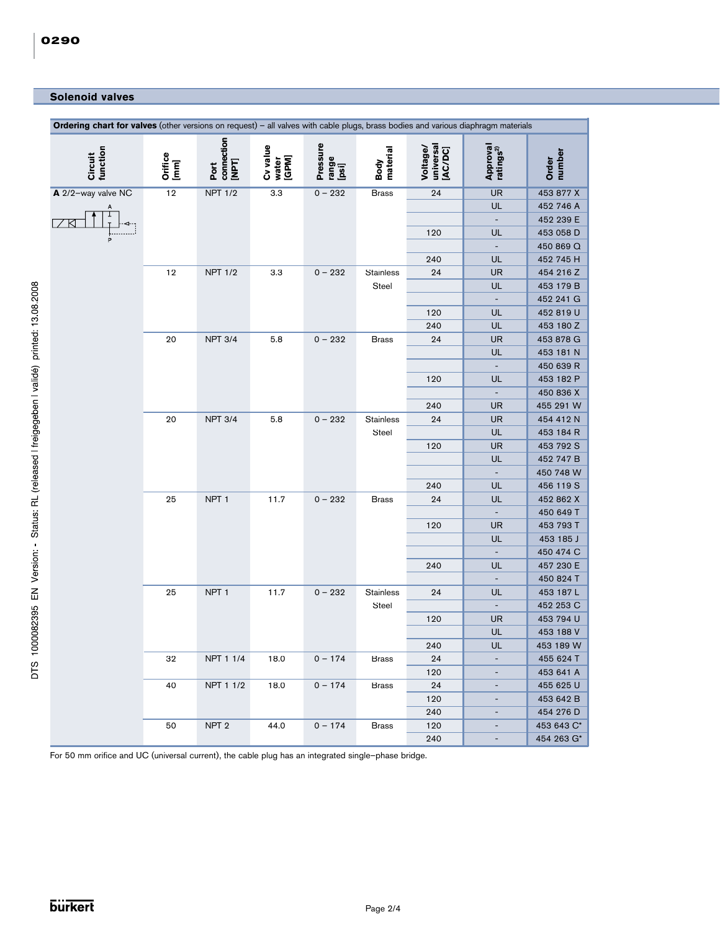### **Solenoid valves**

| Ordering chart for valves (other versions on request) - all valves with cable plugs, brass bodies and various diaphragm materials |                 |                             |                            |                            |                           |                                  |                                       |                        |
|-----------------------------------------------------------------------------------------------------------------------------------|-----------------|-----------------------------|----------------------------|----------------------------|---------------------------|----------------------------------|---------------------------------------|------------------------|
| function<br>Circuit                                                                                                               | Orifice<br>[mm] | connection<br>[NPT]<br>Port | Cv value<br>water<br>[GPM] | Pressure<br>range<br>[psi] | Body<br>material          | universal<br>[AC/DC]<br>Voltage/ | Approval<br>ratings <sup>2)</sup>     | number<br>Order        |
| A 2/2-way valve NC                                                                                                                | 12              | <b>NPT 1/2</b>              | 3.3                        | $0 - 232$                  | <b>Brass</b>              | 24                               | <b>UR</b>                             | 453 877 X              |
| Α                                                                                                                                 |                 |                             |                            |                            |                           |                                  | UL                                    | 452 746 A              |
|                                                                                                                                   |                 |                             |                            |                            |                           |                                  | $\overline{\phantom{a}}$              | 452 239 E              |
|                                                                                                                                   |                 |                             |                            |                            |                           | 120                              | UL                                    | 453 058 D              |
|                                                                                                                                   |                 |                             |                            |                            |                           |                                  | $\overline{\phantom{a}}$              | 450 869 Q              |
|                                                                                                                                   | $12$            | <b>NPT 1/2</b>              | 3.3                        | $0 - 232$                  | Stainless                 | 240<br>24                        | UL<br><b>UR</b>                       | 452 745 H<br>454 216 Z |
|                                                                                                                                   |                 |                             |                            |                            | Steel                     |                                  | UL                                    | 453 179 B              |
|                                                                                                                                   |                 |                             |                            |                            |                           |                                  | $\overline{\phantom{a}}$              | 452 241 G              |
|                                                                                                                                   |                 |                             |                            |                            |                           | 120                              | UL                                    | 452 819 U              |
|                                                                                                                                   |                 |                             |                            |                            |                           | 240                              | UL                                    | 453 180 Z              |
|                                                                                                                                   | 20              | <b>NPT 3/4</b>              | 5.8                        | $0 - 232$                  | <b>Brass</b>              | 24                               | <b>UR</b>                             | 453 878 G              |
|                                                                                                                                   |                 |                             |                            |                            |                           |                                  | UL                                    | 453 181 N              |
|                                                                                                                                   |                 |                             |                            |                            |                           |                                  | $\overline{\phantom{a}}$              | 450 639 R              |
|                                                                                                                                   |                 |                             |                            |                            |                           | 120                              | UL                                    | 453 182 P              |
|                                                                                                                                   |                 |                             |                            |                            |                           |                                  | ٠                                     | 450 836 X              |
|                                                                                                                                   |                 |                             |                            |                            |                           | 240                              | <b>UR</b>                             | 455 291 W              |
|                                                                                                                                   | 20              | <b>NPT 3/4</b>              | 5.8                        | $0 - 232$                  | Stainless<br>Steel        | 24                               | <b>UR</b>                             | 454 412 N              |
|                                                                                                                                   |                 |                             |                            |                            |                           | 120                              | UL<br><b>UR</b>                       | 453 184 R<br>453 792 S |
|                                                                                                                                   |                 |                             |                            |                            |                           |                                  | UL                                    | 452 747 B              |
|                                                                                                                                   |                 |                             |                            |                            |                           |                                  | $\overline{\phantom{a}}$              | 450 748 W              |
|                                                                                                                                   |                 |                             |                            |                            |                           | 240                              | UL                                    | 456 119 S              |
|                                                                                                                                   | 25              | NPT <sub>1</sub>            | 11.7                       | $0 - 232$                  | <b>Brass</b>              | 24                               | UL                                    | 452 862 X              |
|                                                                                                                                   |                 |                             |                            |                            |                           |                                  |                                       | 450 649 T              |
|                                                                                                                                   |                 |                             |                            |                            |                           | 120                              | <b>UR</b>                             | 453 793 T              |
|                                                                                                                                   |                 |                             |                            |                            |                           |                                  | UL                                    | 453 185 J              |
|                                                                                                                                   |                 |                             |                            |                            |                           |                                  | $\blacksquare$                        | 450 474 C              |
|                                                                                                                                   |                 |                             |                            |                            |                           | 240                              | UL                                    | 457 230 E              |
|                                                                                                                                   |                 |                             |                            |                            |                           |                                  | $\overline{\phantom{a}}$              | 450 824 T              |
|                                                                                                                                   | 25              | NPT <sub>1</sub>            | 11.7                       | $0 - 232$                  | <b>Stainless</b><br>Steel | 24                               | UL                                    | 453 187 L              |
|                                                                                                                                   |                 |                             |                            |                            |                           | 120                              | $\overline{\phantom{a}}$<br><b>UR</b> | 452 253 C<br>453 794 U |
|                                                                                                                                   |                 |                             |                            |                            |                           |                                  | UL                                    | 453 188 V              |
|                                                                                                                                   |                 |                             |                            |                            |                           | 240                              | UL                                    | 453 189 W              |
|                                                                                                                                   | 32              | NPT 1 1/4                   | 18.0                       | $0 - 174$                  | <b>Brass</b>              | 24                               |                                       | 455 624 T              |
|                                                                                                                                   |                 |                             |                            |                            |                           | 120                              | $\overline{\phantom{a}}$              | 453 641 A              |
|                                                                                                                                   | 40              | NPT 1 1/2                   | 18.0                       | $0 - 174$                  | <b>Brass</b>              | 24                               | $\overline{\phantom{a}}$              | 455 625 U              |
|                                                                                                                                   |                 |                             |                            |                            |                           | 120                              | $\overline{\phantom{a}}$              | 453 642 B              |
|                                                                                                                                   |                 |                             |                            |                            |                           | 240                              | $\overline{\phantom{a}}$              | 454 276 D              |
|                                                                                                                                   | 50              | NPT <sub>2</sub>            | 44.0                       | $0 - 174$                  | <b>Brass</b>              | 120                              | $\overline{\phantom{a}}$              | 453 643 C*             |
|                                                                                                                                   |                 |                             |                            |                            |                           | 240                              | ۰.                                    | 454 263 G*             |

For 50 mm orifice and UC (universal current), the cable plug has an integrated single–phase bridge.